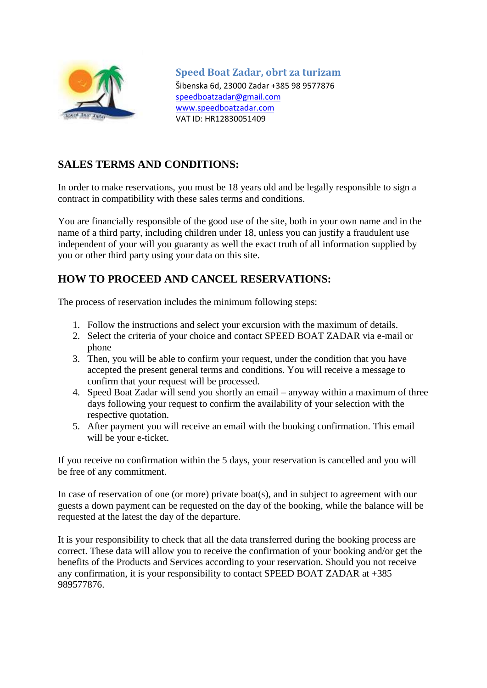

**Speed Boat Zadar, obrt za turizam**  Šibenska 6d, 23000 Zadar +385 98 9577876 speedboatzadar@gmail.com [www.speedboatzadar.com](mailto:speedboatzadar@gmail.com) [VAT ID: HR12830051409](http://www.speedboatzadar.com/)

## **SALES TERMS AND CONDITIONS:**

In order to make reservations, you must be 18 years old and be legally responsible to sign a contract in compatibility with these sales terms and conditions.

You are financially responsible of the good use of the site, both in your own name and in the name of a third party, including children under 18, unless you can justify a fraudulent use independent of your will you guaranty as well the exact truth of all information supplied by you or other third party using your data on this site.

### **HOW TO PROCEED AND CANCEL RESERVATIONS:**

The process of reservation includes the minimum following steps:

- 1. Follow the instructions and select your excursion with the maximum of details.
- 2. Select the criteria of your choice and contact SPEED BOAT ZADAR via e-mail or phone
- 3. Then, you will be able to confirm your request, under the condition that you have accepted the present general terms and conditions. You will receive a message to confirm that your request will be processed.
- 4. Speed Boat Zadar will send you shortly an email anyway within a maximum of three days following your request to confirm the availability of your selection with the respective quotation.
- 5. After payment you will receive an email with the booking confirmation. This email will be your e-ticket.

If you receive no confirmation within the 5 days, your reservation is cancelled and you will be free of any commitment.

In case of reservation of one (or more) private boat(s), and in subject to agreement with our guests a down payment can be requested on the day of the booking, while the balance will be requested at the latest the day of the departure.

It is your responsibility to check that all the data transferred during the booking process are correct. These data will allow you to receive the confirmation of your booking and/or get the benefits of the Products and Services according to your reservation. Should you not receive any confirmation, it is your responsibility to contact SPEED BOAT ZADAR at +385 989577876.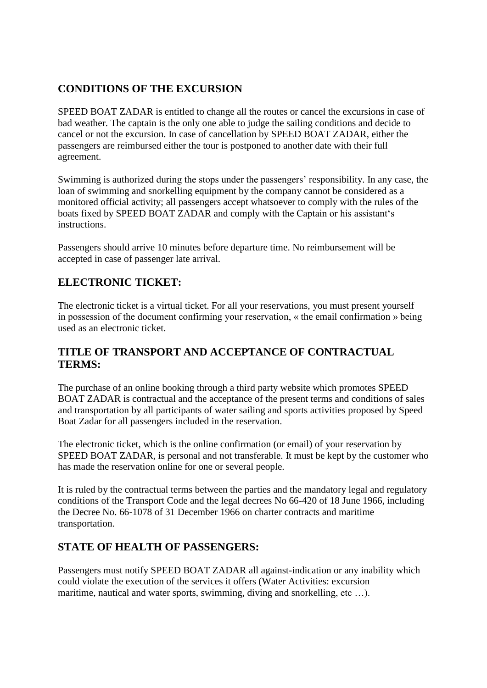### **CONDITIONS OF THE EXCURSION**

SPEED BOAT ZADAR is entitled to change all the routes or cancel the excursions in case of bad weather. The captain is the only one able to judge the sailing conditions and decide to cancel or not the excursion. In case of cancellation by SPEED BOAT ZADAR, either the passengers are reimbursed either the tour is postponed to another date with their full agreement.

Swimming is authorized during the stops under the passengers' responsibility. In any case, the loan of swimming and snorkelling equipment by the company cannot be considered as a monitored official activity; all passengers accept whatsoever to comply with the rules of the boats fixed by SPEED BOAT ZADAR and comply with the Captain or his assistant's instructions.

Passengers should arrive 10 minutes before departure time. No reimbursement will be accepted in case of passenger late arrival.

## **ELECTRONIC TICKET:**

The electronic ticket is a virtual ticket. For all your reservations, you must present yourself in possession of the document confirming your reservation, « the email confirmation » being used as an electronic ticket.

### **TITLE OF TRANSPORT AND ACCEPTANCE OF CONTRACTUAL TERMS:**

The purchase of an online booking through a third party website which promotes SPEED BOAT ZADAR is contractual and the acceptance of the present terms and conditions of sales and transportation by all participants of water sailing and sports activities proposed by Speed Boat Zadar for all passengers included in the reservation.

The electronic ticket, which is the online confirmation (or email) of your reservation by SPEED BOAT ZADAR, is personal and not transferable. It must be kept by the customer who has made the reservation online for one or several people.

It is ruled by the contractual terms between the parties and the mandatory legal and regulatory conditions of the Transport Code and the legal decrees No 66-420 of 18 June 1966, including the Decree No. 66-1078 of 31 December 1966 on charter contracts and maritime transportation.

### **STATE OF HEALTH OF PASSENGERS:**

Passengers must notify SPEED BOAT ZADAR all against-indication or any inability which could violate the execution of the services it offers (Water Activities: excursion maritime, nautical and water sports, swimming, diving and snorkelling, etc ...).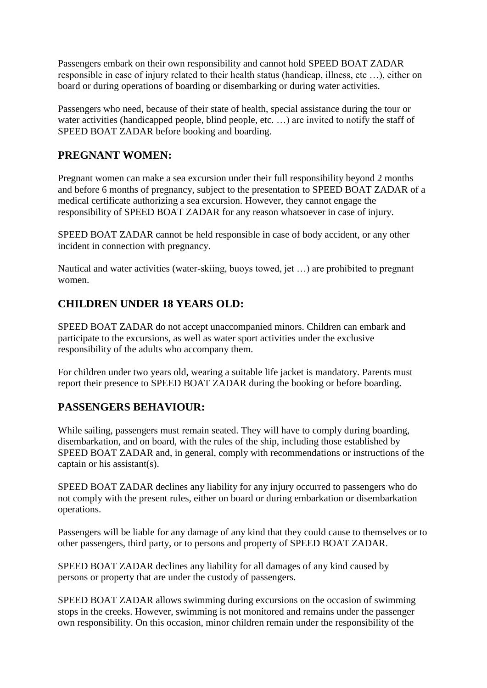Passengers embark on their own responsibility and cannot hold SPEED BOAT ZADAR responsible in case of injury related to their health status (handicap, illness, etc …), either on board or during operations of boarding or disembarking or during water activities.

Passengers who need, because of their state of health, special assistance during the tour or water activities (handicapped people, blind people, etc. …) are invited to notify the staff of SPEED BOAT ZADAR before booking and boarding.

#### **PREGNANT WOMEN:**

Pregnant women can make a sea excursion under their full responsibility beyond 2 months and before 6 months of pregnancy, subject to the presentation to SPEED BOAT ZADAR of a medical certificate authorizing a sea excursion. However, they cannot engage the responsibility of SPEED BOAT ZADAR for any reason whatsoever in case of injury.

SPEED BOAT ZADAR cannot be held responsible in case of body accident, or any other incident in connection with pregnancy.

Nautical and water activities (water-skiing, buoys towed, jet …) are prohibited to pregnant women.

### **CHILDREN UNDER 18 YEARS OLD:**

SPEED BOAT ZADAR do not accept unaccompanied minors. Children can embark and participate to the excursions, as well as water sport activities under the exclusive responsibility of the adults who accompany them.

For children under two years old, wearing a suitable life jacket is mandatory. Parents must report their presence to SPEED BOAT ZADAR during the booking or before boarding.

#### **PASSENGERS BEHAVIOUR:**

While sailing, passengers must remain seated. They will have to comply during boarding, disembarkation, and on board, with the rules of the ship, including those established by SPEED BOAT ZADAR and, in general, comply with recommendations or instructions of the captain or his assistant(s).

SPEED BOAT ZADAR declines any liability for any injury occurred to passengers who do not comply with the present rules, either on board or during embarkation or disembarkation operations.

Passengers will be liable for any damage of any kind that they could cause to themselves or to other passengers, third party, or to persons and property of SPEED BOAT ZADAR.

SPEED BOAT ZADAR declines any liability for all damages of any kind caused by persons or property that are under the custody of passengers.

SPEED BOAT ZADAR allows swimming during excursions on the occasion of swimming stops in the creeks. However, swimming is not monitored and remains under the passenger own responsibility. On this occasion, minor children remain under the responsibility of the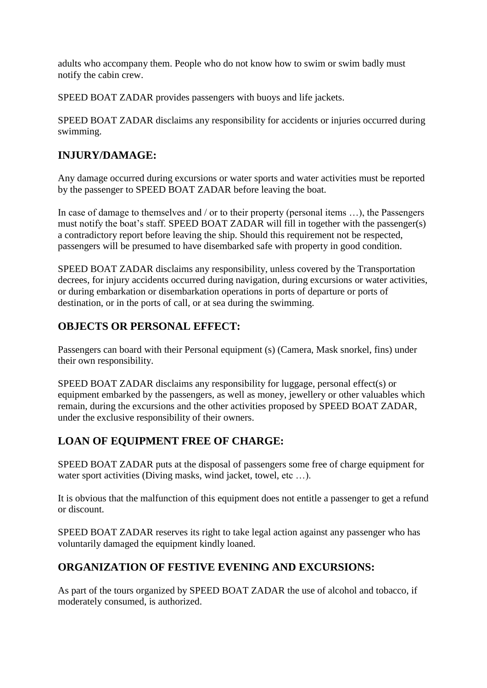adults who accompany them. People who do not know how to swim or swim badly must notify the cabin crew.

SPEED BOAT ZADAR provides passengers with buoys and life jackets.

SPEED BOAT ZADAR disclaims any responsibility for accidents or injuries occurred during swimming.

### **INJURY/DAMAGE:**

Any damage occurred during excursions or water sports and water activities must be reported by the passenger to SPEED BOAT ZADAR before leaving the boat.

In case of damage to themselves and / or to their property (personal items ...), the Passengers must notify the boat's staff. SPEED BOAT ZADAR will fill in together with the passenger(s) a contradictory report before leaving the ship. Should this requirement not be respected, passengers will be presumed to have disembarked safe with property in good condition.

SPEED BOAT ZADAR disclaims any responsibility, unless covered by the Transportation decrees, for injury accidents occurred during navigation, during excursions or water activities, or during embarkation or disembarkation operations in ports of departure or ports of destination, or in the ports of call, or at sea during the swimming.

### **OBJECTS OR PERSONAL EFFECT:**

Passengers can board with their Personal equipment (s) (Camera, Mask snorkel, fins) under their own responsibility.

SPEED BOAT ZADAR disclaims any responsibility for luggage, personal effect(s) or equipment embarked by the passengers, as well as money, jewellery or other valuables which remain, during the excursions and the other activities proposed by SPEED BOAT ZADAR, under the exclusive responsibility of their owners.

## **LOAN OF EQUIPMENT FREE OF CHARGE:**

SPEED BOAT ZADAR puts at the disposal of passengers some free of charge equipment for water sport activities (Diving masks, wind jacket, towel, etc ...).

It is obvious that the malfunction of this equipment does not entitle a passenger to get a refund or discount.

SPEED BOAT ZADAR reserves its right to take legal action against any passenger who has voluntarily damaged the equipment kindly loaned.

### **ORGANIZATION OF FESTIVE EVENING AND EXCURSIONS:**

As part of the tours organized by SPEED BOAT ZADAR the use of alcohol and tobacco, if moderately consumed, is authorized.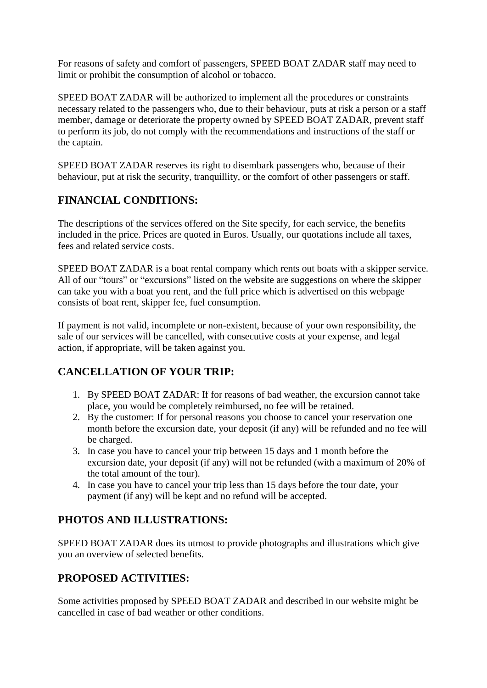For reasons of safety and comfort of passengers, SPEED BOAT ZADAR staff may need to limit or prohibit the consumption of alcohol or tobacco.

SPEED BOAT ZADAR will be authorized to implement all the procedures or constraints necessary related to the passengers who, due to their behaviour, puts at risk a person or a staff member, damage or deteriorate the property owned by SPEED BOAT ZADAR, prevent staff to perform its job, do not comply with the recommendations and instructions of the staff or the captain.

SPEED BOAT ZADAR reserves its right to disembark passengers who, because of their behaviour, put at risk the security, tranquillity, or the comfort of other passengers or staff.

## **FINANCIAL CONDITIONS:**

The descriptions of the services offered on the Site specify, for each service, the benefits included in the price. Prices are quoted in Euros. Usually, our quotations include all taxes, fees and related service costs.

SPEED BOAT ZADAR is a boat rental company which rents out boats with a skipper service. All of our "tours" or "excursions" listed on the website are suggestions on where the skipper can take you with a boat you rent, and the full price which is advertised on this webpage consists of boat rent, skipper fee, fuel consumption.

If payment is not valid, incomplete or non-existent, because of your own responsibility, the sale of our services will be cancelled, with consecutive costs at your expense, and legal action, if appropriate, will be taken against you.

## **CANCELLATION OF YOUR TRIP:**

- 1. By SPEED BOAT ZADAR: If for reasons of bad weather, the excursion cannot take place, you would be completely reimbursed, no fee will be retained.
- 2. By the customer: If for personal reasons you choose to cancel your reservation one month before the excursion date, your deposit (if any) will be refunded and no fee will be charged.
- 3. In case you have to cancel your trip between 15 days and 1 month before the excursion date, your deposit (if any) will not be refunded (with a maximum of 20% of the total amount of the tour).
- 4. In case you have to cancel your trip less than 15 days before the tour date, your payment (if any) will be kept and no refund will be accepted.

## **PHOTOS AND ILLUSTRATIONS:**

SPEED BOAT ZADAR does its utmost to provide photographs and illustrations which give you an overview of selected benefits.

# **PROPOSED ACTIVITIES:**

Some activities proposed by SPEED BOAT ZADAR and described in our website might be cancelled in case of bad weather or other conditions.